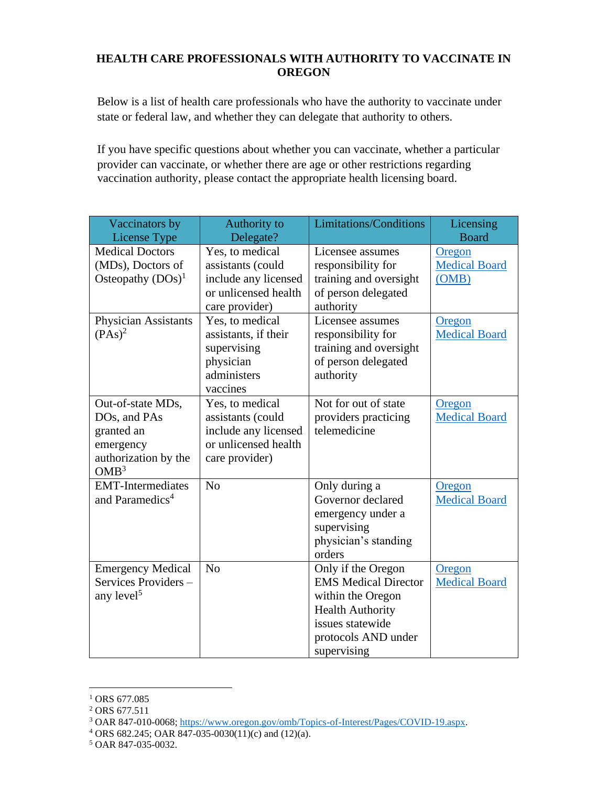## **HEALTH CARE PROFESSIONALS WITH AUTHORITY TO VACCINATE IN OREGON**

Below is a list of health care professionals who have the authority to vaccinate under state or federal law, and whether they can delegate that authority to others.

If you have specific questions about whether you can vaccinate, whether a particular provider can vaccinate, or whether there are age or other restrictions regarding vaccination authority, please contact the appropriate health licensing board.

| Vaccinators by<br>License Type                                                                           | Authority to<br>Delegate?                                                                              | <b>Limitations/Conditions</b>                                                                                                                               | Licensing<br><b>Board</b>               |
|----------------------------------------------------------------------------------------------------------|--------------------------------------------------------------------------------------------------------|-------------------------------------------------------------------------------------------------------------------------------------------------------------|-----------------------------------------|
| <b>Medical Doctors</b><br>(MDs), Doctors of<br>Osteopathy $(DOs)^1$                                      | Yes, to medical<br>assistants (could<br>include any licensed<br>or unlicensed health<br>care provider) | Licensee assumes<br>responsibility for<br>training and oversight<br>of person delegated<br>authority                                                        | Oregon<br><b>Medical Board</b><br>(OMB) |
| Physician Assistants<br>$(PAs)^2$                                                                        | Yes, to medical<br>assistants, if their<br>supervising<br>physician<br>administers<br>vaccines         | Licensee assumes<br>responsibility for<br>training and oversight<br>of person delegated<br>authority                                                        | Oregon<br><b>Medical Board</b>          |
| Out-of-state MDs,<br>DOs, and PAs<br>granted an<br>emergency<br>authorization by the<br>OMB <sup>3</sup> | Yes, to medical<br>assistants (could<br>include any licensed<br>or unlicensed health<br>care provider) | Not for out of state<br>providers practicing<br>telemedicine                                                                                                | Oregon<br><b>Medical Board</b>          |
| <b>EMT-Intermediates</b><br>and Paramedics <sup>4</sup>                                                  | N <sub>o</sub>                                                                                         | Only during a<br>Governor declared<br>emergency under a<br>supervising<br>physician's standing<br>orders                                                    | Oregon<br><b>Medical Board</b>          |
| <b>Emergency Medical</b><br>Services Providers-<br>any level <sup>5</sup>                                | N <sub>o</sub>                                                                                         | Only if the Oregon<br><b>EMS</b> Medical Director<br>within the Oregon<br><b>Health Authority</b><br>issues statewide<br>protocols AND under<br>supervising | Oregon<br><b>Medical Board</b>          |

<sup>&</sup>lt;sup>1</sup> ORS 677.085

<sup>&</sup>lt;sup>2</sup> ORS 677.511

<sup>3</sup> OAR 847-010-0068; [https://www.oregon.gov/omb/Topics-of-Interest/Pages/COVID-19.aspx.](https://www.oregon.gov/omb/Topics-of-Interest/Pages/COVID-19.aspx)

<sup>4</sup> ORS 682.245; OAR 847-035-0030(11)(c) and (12)(a).

<sup>5</sup> OAR 847-035-0032.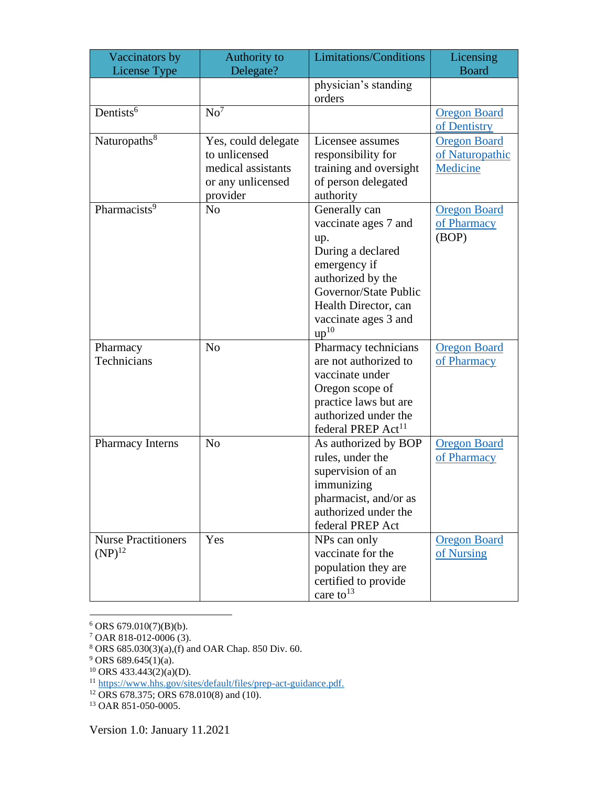| Vaccinators by                            | Authority to                                                                                | Limitations/Conditions                                                                                                                                                                              | Licensing                                          |
|-------------------------------------------|---------------------------------------------------------------------------------------------|-----------------------------------------------------------------------------------------------------------------------------------------------------------------------------------------------------|----------------------------------------------------|
| <b>License Type</b>                       | Delegate?                                                                                   |                                                                                                                                                                                                     | <b>Board</b>                                       |
|                                           |                                                                                             | physician's standing<br>orders                                                                                                                                                                      |                                                    |
| Dentists <sup>6</sup>                     | $No^7$                                                                                      |                                                                                                                                                                                                     | <b>Oregon Board</b><br>of Dentistry                |
| Naturopaths <sup>8</sup>                  | Yes, could delegate<br>to unlicensed<br>medical assistants<br>or any unlicensed<br>provider | Licensee assumes<br>responsibility for<br>training and oversight<br>of person delegated<br>authority                                                                                                | <b>Oregon Board</b><br>of Naturopathic<br>Medicine |
| Pharmacists <sup>9</sup>                  | N <sub>o</sub>                                                                              | Generally can<br>vaccinate ages 7 and<br>up.<br>During a declared<br>emergency if<br>authorized by the<br>Governor/State Public<br>Health Director, can<br>vaccinate ages 3 and<br>up <sup>10</sup> | <b>Oregon Board</b><br>of Pharmacy<br>(BOP)        |
| Pharmacy<br>Technicians                   | N <sub>0</sub>                                                                              | Pharmacy technicians<br>are not authorized to<br>vaccinate under<br>Oregon scope of<br>practice laws but are<br>authorized under the<br>federal PREP Act <sup>11</sup>                              | <b>Oregon Board</b><br>of Pharmacy                 |
| Pharmacy Interns                          | N <sub>o</sub>                                                                              | As authorized by BOP<br>rules, under the<br>supervision of an<br>immunizing<br>pharmacist, and/or as<br>authorized under the<br>federal PREP Act                                                    | <b>Oregon Board</b><br>of Pharmacy                 |
| <b>Nurse Practitioners</b><br>$(NP)^{12}$ | Yes                                                                                         | NPs can only<br>vaccinate for the<br>population they are<br>certified to provide<br>care to $13$                                                                                                    | <b>Oregon Board</b><br>of Nursing                  |

 $6$  ORS 679.010(7)(B)(b).

<sup>7</sup> OAR 818-012-0006 (3).

<sup>13</sup> OAR 851-050-0005.

<sup>8</sup> ORS 685.030(3)(a),(f) and OAR Chap. 850 Div. 60.

 $9$  ORS 689.645(1)(a).

 $10$  ORS 433.443(2)(a)(D).

<sup>&</sup>lt;sup>11</sup> [https://www.hhs.gov/sites/default/files/prep-act-guidance.pdf.](https://www.hhs.gov/sites/default/files/prep-act-guidance.pdf)

<sup>12</sup> ORS 678.375; ORS 678.010(8) and (10).